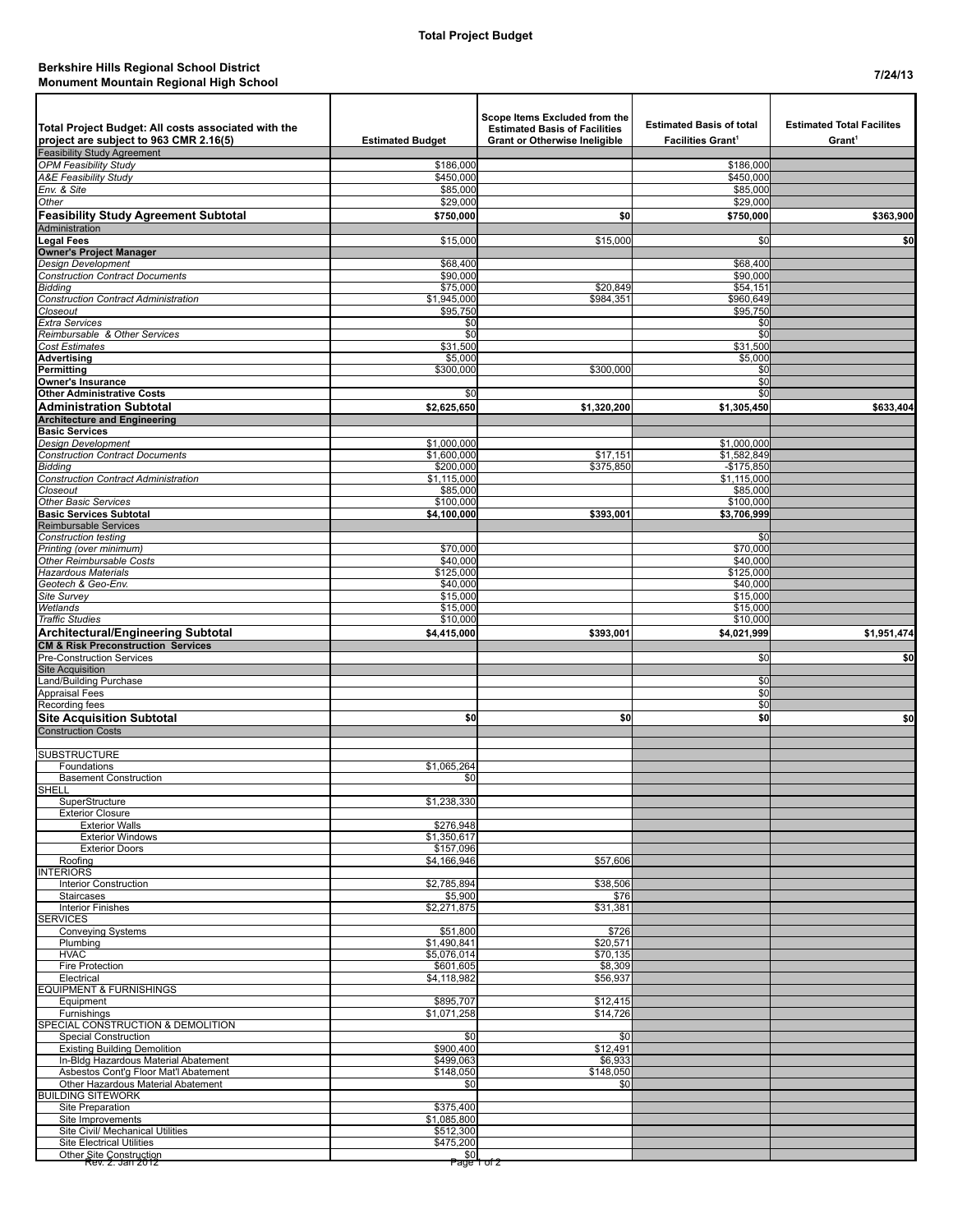## **Berkshire Hills Regional School District Monument Mountain Regional High School 7/24/13**

| Total Project Budget: All costs associated with the<br>project are subject to 963 CMR 2.16(5)<br>Feasibility Study Agreement | <b>Estimated Budget</b>  | Scope Items Excluded from the<br><b>Estimated Basis of Facilities</b><br><b>Grant or Otherwise Ineligible</b> | <b>Estimated Basis of total</b><br><b>Facilities Grant<sup>1</sup></b> | <b>Estimated Total Facilites</b><br>Grant <sup>1</sup> |
|------------------------------------------------------------------------------------------------------------------------------|--------------------------|---------------------------------------------------------------------------------------------------------------|------------------------------------------------------------------------|--------------------------------------------------------|
| <b>OPM Feasibility Study</b>                                                                                                 | \$186,000                |                                                                                                               | \$186,000                                                              |                                                        |
| <b>A&amp;E Feasibility Study</b>                                                                                             | \$450,000                |                                                                                                               | \$450,000                                                              |                                                        |
| Env. & Site                                                                                                                  | \$85,000                 |                                                                                                               | \$85,000<br>\$29,000                                                   |                                                        |
| Other<br><b>Feasibility Study Agreement Subtotal</b>                                                                         | \$29,000<br>\$750,000    | \$0                                                                                                           | \$750,000                                                              | \$363,900                                              |
| Administration                                                                                                               |                          |                                                                                                               |                                                                        |                                                        |
| <b>Legal Fees</b>                                                                                                            | \$15,000                 | \$15,000                                                                                                      | \$0                                                                    | \$0                                                    |
| <b>Owner's Project Manager</b>                                                                                               |                          |                                                                                                               |                                                                        |                                                        |
| <b>Design Development</b><br><b>Construction Contract Documents</b>                                                          | \$68,400<br>\$90,000     |                                                                                                               | \$68,400<br>\$90,000                                                   |                                                        |
| <b>Bidding</b>                                                                                                               | \$75,000                 | \$20,849                                                                                                      | \$54,151                                                               |                                                        |
| <b>Construction Contract Administration</b>                                                                                  | \$1,945,000              | \$984,351                                                                                                     | \$960,649                                                              |                                                        |
| Closeout                                                                                                                     | \$95,750                 |                                                                                                               | \$95,750                                                               |                                                        |
| Extra Services<br>Reimbursable & Other Services                                                                              | \$0<br>\$0               |                                                                                                               | \$0<br>\$0                                                             |                                                        |
| Cost Estimates                                                                                                               | \$31,500                 |                                                                                                               | \$31,500                                                               |                                                        |
| Advertising                                                                                                                  | \$5,000                  |                                                                                                               | \$5,000                                                                |                                                        |
| Permitting                                                                                                                   | \$300,000                | \$300,000                                                                                                     | \$0                                                                    |                                                        |
| <b>Owner's Insurance</b><br><b>Other Administrative Costs</b>                                                                | \$0                      |                                                                                                               | \$0<br>\$0                                                             |                                                        |
| <b>Administration Subtotal</b>                                                                                               | \$2,625,650              | \$1,320,200                                                                                                   | \$1,305,450                                                            | \$633,404                                              |
| <b>Architecture and Engineering</b>                                                                                          |                          |                                                                                                               |                                                                        |                                                        |
| <b>Basic Services</b>                                                                                                        |                          |                                                                                                               |                                                                        |                                                        |
| Design Development                                                                                                           | \$1,000,000              |                                                                                                               | \$1,000,000                                                            |                                                        |
| <b>Construction Contract Documents</b><br><b>Bidding</b>                                                                     | \$1,600,000<br>\$200,000 | \$17,151<br>\$375,850                                                                                         | \$1,582,849<br>$-$175,850$                                             |                                                        |
| <b>Construction Contract Administration</b>                                                                                  | \$1,115,000              |                                                                                                               | \$1,115,000                                                            |                                                        |
| Closeout                                                                                                                     | \$85,000                 |                                                                                                               | \$85,000                                                               |                                                        |
| <b>Other Basic Services</b>                                                                                                  | \$100,000                |                                                                                                               | \$100,000                                                              |                                                        |
| <b>Basic Services Subtotal</b><br>Reimbursable Services                                                                      | \$4,100,000              | \$393,001                                                                                                     | \$3,706,999                                                            |                                                        |
| <b>Construction testing</b>                                                                                                  |                          |                                                                                                               | \$0                                                                    |                                                        |
| Printing (over minimum)                                                                                                      | \$70,000                 |                                                                                                               | \$70,000                                                               |                                                        |
| Other Reimbursable Costs                                                                                                     | \$40,000                 |                                                                                                               | \$40,000                                                               |                                                        |
| Hazardous Materials<br>Geotech & Geo-Env.                                                                                    | \$125,000<br>\$40,000    |                                                                                                               | \$125,000<br>\$40,000                                                  |                                                        |
| Site Survey                                                                                                                  | \$15,000                 |                                                                                                               | \$15,000                                                               |                                                        |
| Wetlands                                                                                                                     | \$15,000                 |                                                                                                               | \$15,000                                                               |                                                        |
| <b>Traffic Studies</b>                                                                                                       | \$10,000                 |                                                                                                               | \$10,000                                                               |                                                        |
| <b>Architectural/Engineering Subtotal</b>                                                                                    | \$4,415,000              | \$393,001                                                                                                     | \$4,021,999                                                            | \$1,951,474                                            |
| <b>CM &amp; Risk Preconstruction Services</b><br>Pre-Construction Services                                                   |                          |                                                                                                               | \$0                                                                    | \$0                                                    |
| <b>Site Acquisition</b>                                                                                                      |                          |                                                                                                               |                                                                        |                                                        |
| and/Building Purchase                                                                                                        |                          |                                                                                                               | \$0                                                                    |                                                        |
| <b>Appraisal Fees</b>                                                                                                        |                          |                                                                                                               | \$0                                                                    |                                                        |
| Recording fees                                                                                                               | \$0                      | \$0                                                                                                           | \$0<br>\$0                                                             | \$0                                                    |
| <b>Site Acquisition Subtotal</b><br><b>Construction Costs</b>                                                                |                          |                                                                                                               |                                                                        |                                                        |
|                                                                                                                              |                          |                                                                                                               |                                                                        |                                                        |
| <b>SUBSTRUCTURE</b>                                                                                                          |                          |                                                                                                               |                                                                        |                                                        |
| Foundations                                                                                                                  | \$1,065,264              |                                                                                                               |                                                                        |                                                        |
| <b>Basement Construction</b><br><b>SHELL</b>                                                                                 | \$0                      |                                                                                                               |                                                                        |                                                        |
| SuperStructure                                                                                                               | \$1,238,330              |                                                                                                               |                                                                        |                                                        |
| <b>Exterior Closure</b>                                                                                                      |                          |                                                                                                               |                                                                        |                                                        |
| <b>Exterior Walls</b>                                                                                                        | \$276.948                |                                                                                                               |                                                                        |                                                        |
| <b>Exterior Windows</b><br><b>Exterior Doors</b>                                                                             | \$1,350,617<br>\$157,096 |                                                                                                               |                                                                        |                                                        |
| Roofing                                                                                                                      | \$4,166,946              | \$57,606                                                                                                      |                                                                        |                                                        |
| <b>INTERIORS</b>                                                                                                             |                          |                                                                                                               |                                                                        |                                                        |
| <b>Interior Construction</b>                                                                                                 | \$2,785,894              | \$38,506                                                                                                      |                                                                        |                                                        |
| <b>Staircases</b><br><b>Interior Finishes</b>                                                                                | \$5,900<br>\$2,271,875   | \$76<br>\$31,381                                                                                              |                                                                        |                                                        |
| <b>SERVICES</b>                                                                                                              |                          |                                                                                                               |                                                                        |                                                        |
| <b>Conveying Systems</b>                                                                                                     | \$51,800                 | \$726                                                                                                         |                                                                        |                                                        |
| Plumbing                                                                                                                     | \$1,490,841              | \$20,571                                                                                                      |                                                                        |                                                        |
| <b>HVAC</b><br>Fire Protection                                                                                               | \$5,076,014<br>\$601,605 | \$70,135<br>\$8,309                                                                                           |                                                                        |                                                        |
| Electrical                                                                                                                   | \$4,118,982              | \$56,937                                                                                                      |                                                                        |                                                        |
| <b>EQUIPMENT &amp; FURNISHINGS</b>                                                                                           |                          |                                                                                                               |                                                                        |                                                        |
| Equipment                                                                                                                    | \$895,707                | \$12,415                                                                                                      |                                                                        |                                                        |
| Furnishings<br>SPECIAL CONSTRUCTION & DEMOLITION                                                                             | \$1,071,258              | \$14,726                                                                                                      |                                                                        |                                                        |
| <b>Special Construction</b>                                                                                                  | \$0                      | \$0                                                                                                           |                                                                        |                                                        |
| <b>Existing Building Demolition</b>                                                                                          | \$900,400                | \$12,491                                                                                                      |                                                                        |                                                        |
| In-Bldg Hazardous Material Abatement                                                                                         | \$499,063                | \$6,933                                                                                                       |                                                                        |                                                        |
| Asbestos Cont'g Floor Mat'l Abatement                                                                                        | \$148,050                | \$148,050                                                                                                     |                                                                        |                                                        |
| Other Hazardous Material Abatement<br><b>BUILDING SITEWORK</b>                                                               | \$0                      | \$0                                                                                                           |                                                                        |                                                        |
| Site Preparation                                                                                                             | \$375,400                |                                                                                                               |                                                                        |                                                        |
| Site Improvements                                                                                                            | \$1,085,800              |                                                                                                               |                                                                        |                                                        |
| Site Civil/ Mechanical Utilities                                                                                             | \$512,300                |                                                                                                               |                                                                        |                                                        |
| <b>Site Electrical Utilities</b><br>Other Site Construction<br>Rev. 2: Jan 2012                                              | \$475,200<br>\$0         |                                                                                                               |                                                                        |                                                        |
|                                                                                                                              |                          | Page 1 of 2                                                                                                   |                                                                        |                                                        |